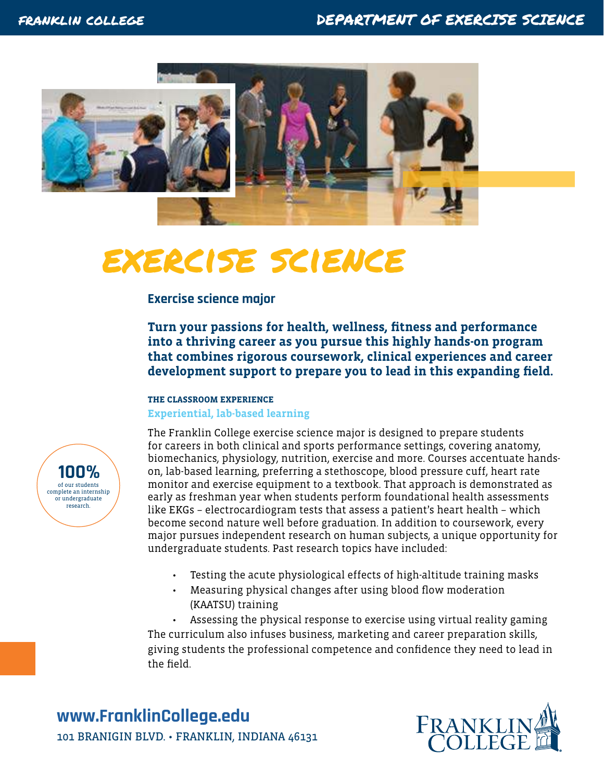

# exercise science

### **Exercise science major**

**Turn your passions for health, wellness, fitness and performance into a thriving career as you pursue this highly hands-on program that combines rigorous coursework, clinical experiences and career development support to prepare you to lead in this expanding field.** 

#### **THE CLASSROOM EXPERIENCE**

**Experiential, lab-based learning**



The Franklin College exercise science major is designed to prepare students for careers in both clinical and sports performance settings, covering anatomy, biomechanics, physiology, nutrition, exercise and more. Courses accentuate handson, lab-based learning, preferring a stethoscope, blood pressure cuff, heart rate monitor and exercise equipment to a textbook. That approach is demonstrated as early as freshman year when students perform foundational health assessments like EKGs – electrocardiogram tests that assess a patient's heart health – which become second nature well before graduation. In addition to coursework, every major pursues independent research on human subjects, a unique opportunity for undergraduate students. Past research topics have included:

- Testing the acute physiological effects of high-altitude training masks
- Measuring physical changes after using blood flow moderation (KAATSU) training

• Assessing the physical response to exercise using virtual reality gaming The curriculum also infuses business, marketing and career preparation skills, giving students the professional competence and confidence they need to lead in the field.

**www[.FranklinCollege.edu](http://www.franklincollege.edu)** 101 BRANIGIN BLVD. • FRANKLIN, INDIANA 46131